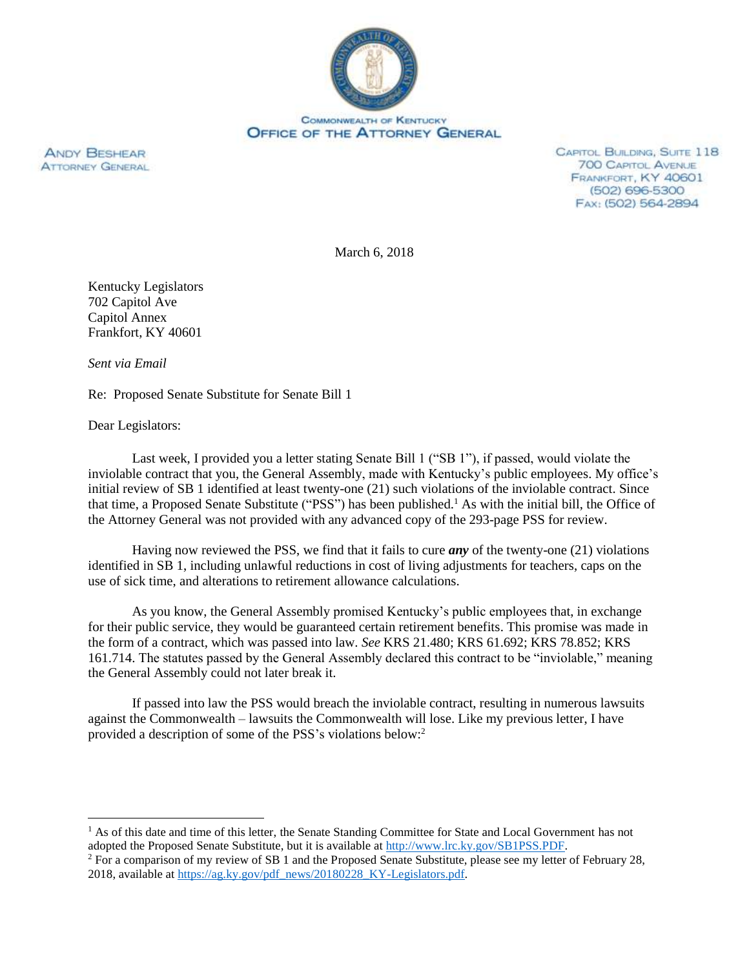

**ANDY BESHEAR ATTORNEY GENERAL**  CAPITOL BUILDING, SUITE 118 **700 CAPITOL AVENUE** FRANKFORT, KY 40601 (502) 696-5300 FAX: (502) 564-2894

March 6, 2018

Kentucky Legislators 702 Capitol Ave Capitol Annex Frankfort, KY 40601

*Sent via Email*

Re: Proposed Senate Substitute for Senate Bill 1

Dear Legislators:

 $\overline{a}$ 

Last week, I provided you a letter stating Senate Bill 1 ("SB 1"), if passed, would violate the inviolable contract that you, the General Assembly, made with Kentucky's public employees. My office's initial review of SB 1 identified at least twenty-one (21) such violations of the inviolable contract. Since that time, a Proposed Senate Substitute ("PSS") has been published.<sup>1</sup> As with the initial bill, the Office of the Attorney General was not provided with any advanced copy of the 293-page PSS for review.

Having now reviewed the PSS, we find that it fails to cure *any* of the twenty-one (21) violations identified in SB 1, including unlawful reductions in cost of living adjustments for teachers, caps on the use of sick time, and alterations to retirement allowance calculations.

As you know, the General Assembly promised Kentucky's public employees that, in exchange for their public service, they would be guaranteed certain retirement benefits. This promise was made in the form of a contract, which was passed into law. *See* KRS 21.480; KRS 61.692; KRS 78.852; KRS 161.714. The statutes passed by the General Assembly declared this contract to be "inviolable," meaning the General Assembly could not later break it.

If passed into law the PSS would breach the inviolable contract, resulting in numerous lawsuits against the Commonwealth – lawsuits the Commonwealth will lose. Like my previous letter, I have provided a description of some of the PSS's violations below: 2

 $<sup>1</sup>$  As of this date and time of this letter, the Senate Standing Committee for State and Local Government has not</sup> adopted the Proposed Senate Substitute, but it is available a[t http://www.lrc.ky.gov/SB1PSS.PDF.](http://www.lrc.ky.gov/SB1PSS.PDF)

<sup>&</sup>lt;sup>2</sup> For a comparison of my review of SB 1 and the Proposed Senate Substitute, please see my letter of February 28, 2018, available at [https://ag.ky.gov/pdf\\_news/20180228\\_KY-Legislators.pdf.](https://ag.ky.gov/pdf_news/20180228_KY-Legislators.pdf)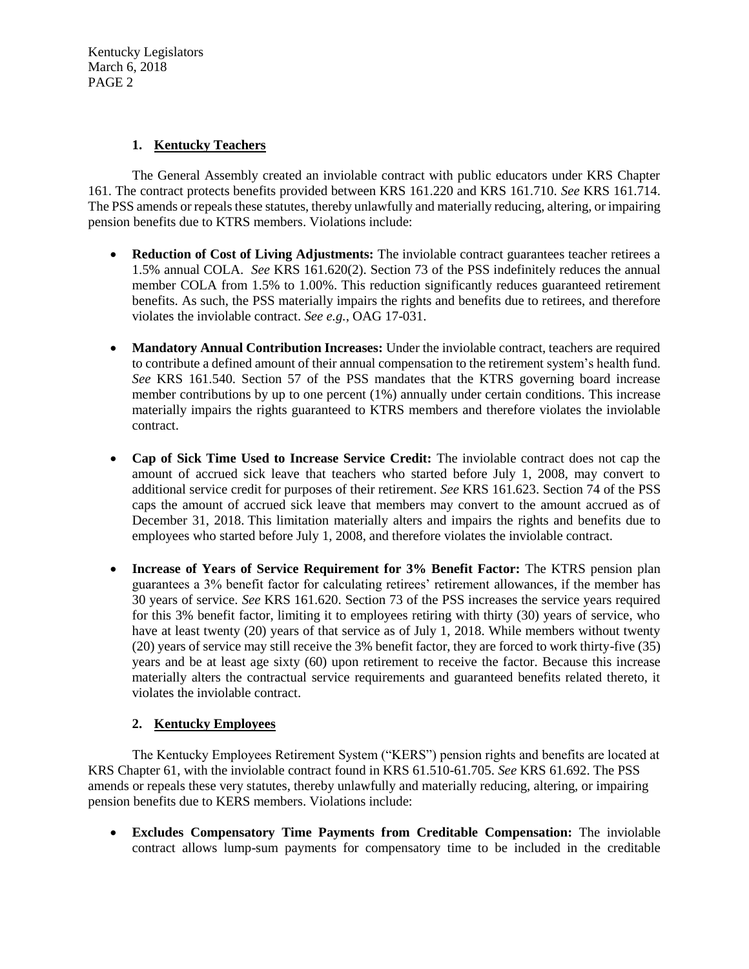## **1. Kentucky Teachers**

The General Assembly created an inviolable contract with public educators under KRS Chapter 161. The contract protects benefits provided between KRS 161.220 and KRS 161.710. *See* KRS 161.714. The PSS amends or repeals these statutes, thereby unlawfully and materially reducing, altering, or impairing pension benefits due to KTRS members. Violations include:

- **Reduction of Cost of Living Adjustments:** The inviolable contract guarantees teacher retirees a 1.5% annual COLA. *See* KRS 161.620(2). Section 73 of the PSS indefinitely reduces the annual member COLA from 1.5% to 1.00%. This reduction significantly reduces guaranteed retirement benefits. As such, the PSS materially impairs the rights and benefits due to retirees, and therefore violates the inviolable contract. *See e.g.*, OAG 17-031.
- Mandatory Annual Contribution Increases: Under the inviolable contract, teachers are required to contribute a defined amount of their annual compensation to the retirement system's health fund. *See* KRS 161.540. Section 57 of the PSS mandates that the KTRS governing board increase member contributions by up to one percent (1%) annually under certain conditions. This increase materially impairs the rights guaranteed to KTRS members and therefore violates the inviolable contract.
- **Cap of Sick Time Used to Increase Service Credit:** The inviolable contract does not cap the amount of accrued sick leave that teachers who started before July 1, 2008, may convert to additional service credit for purposes of their retirement. *See* KRS 161.623. Section 74 of the PSS caps the amount of accrued sick leave that members may convert to the amount accrued as of December 31, 2018. This limitation materially alters and impairs the rights and benefits due to employees who started before July 1, 2008, and therefore violates the inviolable contract.
- **Increase of Years of Service Requirement for 3% Benefit Factor:** The KTRS pension plan guarantees a 3% benefit factor for calculating retirees' retirement allowances, if the member has 30 years of service. *See* KRS 161.620. Section 73 of the PSS increases the service years required for this 3% benefit factor, limiting it to employees retiring with thirty (30) years of service, who have at least twenty (20) years of that service as of July 1, 2018. While members without twenty (20) years of service may still receive the 3% benefit factor, they are forced to work thirty-five (35) years and be at least age sixty (60) upon retirement to receive the factor. Because this increase materially alters the contractual service requirements and guaranteed benefits related thereto, it violates the inviolable contract.

## **2. Kentucky Employees**

The Kentucky Employees Retirement System ("KERS") pension rights and benefits are located at KRS Chapter 61, with the inviolable contract found in KRS 61.510-61.705. *See* KRS 61.692. The PSS amends or repeals these very statutes, thereby unlawfully and materially reducing, altering, or impairing pension benefits due to KERS members. Violations include:

 **Excludes Compensatory Time Payments from Creditable Compensation:** The inviolable contract allows lump-sum payments for compensatory time to be included in the creditable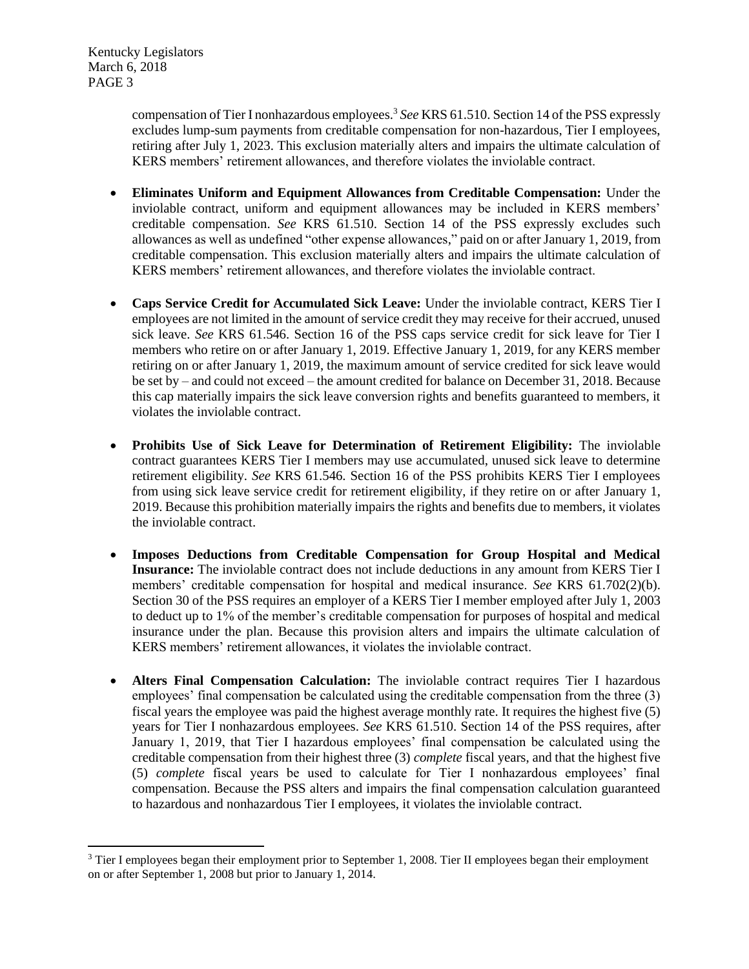$\overline{a}$ 

compensation of Tier I nonhazardous employees.<sup>3</sup> See KRS 61.510. Section 14 of the PSS expressly excludes lump-sum payments from creditable compensation for non-hazardous, Tier I employees, retiring after July 1, 2023. This exclusion materially alters and impairs the ultimate calculation of KERS members' retirement allowances, and therefore violates the inviolable contract.

- **Eliminates Uniform and Equipment Allowances from Creditable Compensation:** Under the inviolable contract, uniform and equipment allowances may be included in KERS members' creditable compensation. *See* KRS 61.510. Section 14 of the PSS expressly excludes such allowances as well as undefined "other expense allowances," paid on or after January 1, 2019, from creditable compensation. This exclusion materially alters and impairs the ultimate calculation of KERS members' retirement allowances, and therefore violates the inviolable contract.
- **Caps Service Credit for Accumulated Sick Leave:** Under the inviolable contract, KERS Tier I employees are not limited in the amount of service credit they may receive for their accrued, unused sick leave. *See* KRS 61.546. Section 16 of the PSS caps service credit for sick leave for Tier I members who retire on or after January 1, 2019. Effective January 1, 2019, for any KERS member retiring on or after January 1, 2019, the maximum amount of service credited for sick leave would be set by – and could not exceed – the amount credited for balance on December 31, 2018. Because this cap materially impairs the sick leave conversion rights and benefits guaranteed to members, it violates the inviolable contract.
- **Prohibits Use of Sick Leave for Determination of Retirement Eligibility:** The inviolable contract guarantees KERS Tier I members may use accumulated, unused sick leave to determine retirement eligibility. *See* KRS 61.546. Section 16 of the PSS prohibits KERS Tier I employees from using sick leave service credit for retirement eligibility, if they retire on or after January 1, 2019. Because this prohibition materially impairs the rights and benefits due to members, it violates the inviolable contract.
- **Imposes Deductions from Creditable Compensation for Group Hospital and Medical Insurance:** The inviolable contract does not include deductions in any amount from KERS Tier I members' creditable compensation for hospital and medical insurance. *See* KRS 61.702(2)(b). Section 30 of the PSS requires an employer of a KERS Tier I member employed after July 1, 2003 to deduct up to 1% of the member's creditable compensation for purposes of hospital and medical insurance under the plan. Because this provision alters and impairs the ultimate calculation of KERS members' retirement allowances, it violates the inviolable contract.
- **Alters Final Compensation Calculation:** The inviolable contract requires Tier I hazardous employees' final compensation be calculated using the creditable compensation from the three (3) fiscal years the employee was paid the highest average monthly rate. It requires the highest five (5) years for Tier I nonhazardous employees. *See* KRS 61.510. Section 14 of the PSS requires, after January 1, 2019, that Tier I hazardous employees' final compensation be calculated using the creditable compensation from their highest three (3) *complete* fiscal years, and that the highest five (5) *complete* fiscal years be used to calculate for Tier I nonhazardous employees' final compensation. Because the PSS alters and impairs the final compensation calculation guaranteed to hazardous and nonhazardous Tier I employees, it violates the inviolable contract.

 $3$  Tier I employees began their employment prior to September 1, 2008. Tier II employees began their employment on or after September 1, 2008 but prior to January 1, 2014.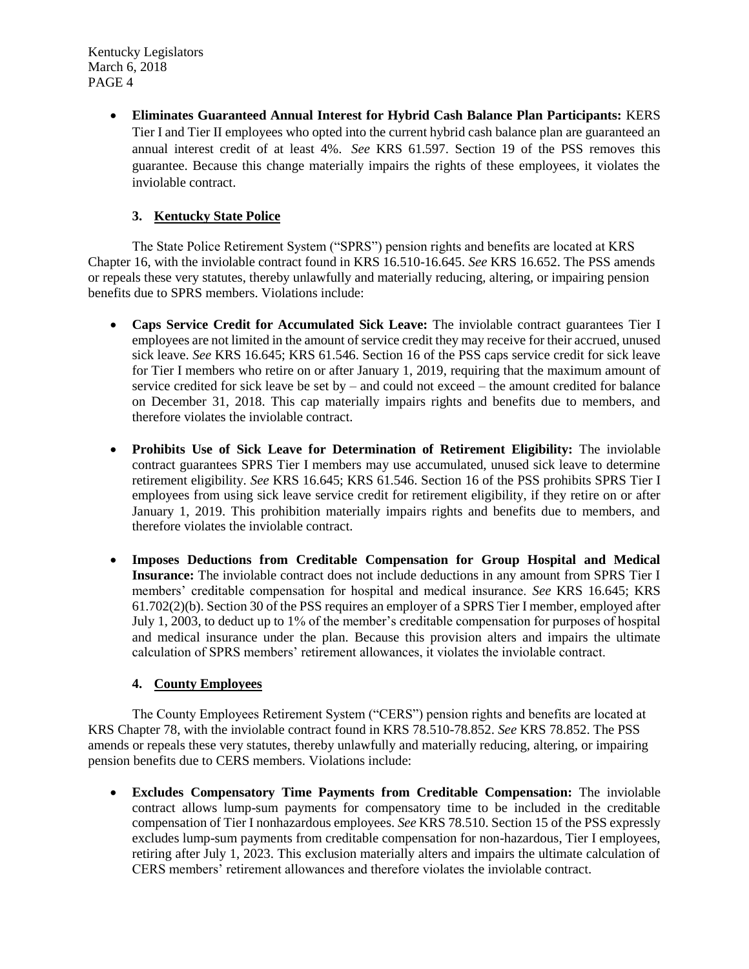> **Eliminates Guaranteed Annual Interest for Hybrid Cash Balance Plan Participants:** KERS Tier I and Tier II employees who opted into the current hybrid cash balance plan are guaranteed an annual interest credit of at least 4%. *See* KRS 61.597. Section 19 of the PSS removes this guarantee. Because this change materially impairs the rights of these employees, it violates the inviolable contract.

## **3. Kentucky State Police**

The State Police Retirement System ("SPRS") pension rights and benefits are located at KRS Chapter 16, with the inviolable contract found in KRS 16.510-16.645. *See* KRS 16.652. The PSS amends or repeals these very statutes, thereby unlawfully and materially reducing, altering, or impairing pension benefits due to SPRS members. Violations include:

- **Caps Service Credit for Accumulated Sick Leave:** The inviolable contract guarantees Tier I employees are not limited in the amount of service credit they may receive for their accrued, unused sick leave. *See* KRS 16.645; KRS 61.546. Section 16 of the PSS caps service credit for sick leave for Tier I members who retire on or after January 1, 2019, requiring that the maximum amount of service credited for sick leave be set by – and could not exceed – the amount credited for balance on December 31, 2018. This cap materially impairs rights and benefits due to members, and therefore violates the inviolable contract.
- **Prohibits Use of Sick Leave for Determination of Retirement Eligibility:** The inviolable contract guarantees SPRS Tier I members may use accumulated, unused sick leave to determine retirement eligibility. *See* KRS 16.645; KRS 61.546. Section 16 of the PSS prohibits SPRS Tier I employees from using sick leave service credit for retirement eligibility, if they retire on or after January 1, 2019. This prohibition materially impairs rights and benefits due to members, and therefore violates the inviolable contract.
- **Imposes Deductions from Creditable Compensation for Group Hospital and Medical Insurance:** The inviolable contract does not include deductions in any amount from SPRS Tier I members' creditable compensation for hospital and medical insurance. *See* KRS 16.645; KRS 61.702(2)(b). Section 30 of the PSS requires an employer of a SPRS Tier I member, employed after July 1, 2003, to deduct up to 1% of the member's creditable compensation for purposes of hospital and medical insurance under the plan. Because this provision alters and impairs the ultimate calculation of SPRS members' retirement allowances, it violates the inviolable contract.

## **4. County Employees**

The County Employees Retirement System ("CERS") pension rights and benefits are located at KRS Chapter 78, with the inviolable contract found in KRS 78.510-78.852. *See* KRS 78.852. The PSS amends or repeals these very statutes, thereby unlawfully and materially reducing, altering, or impairing pension benefits due to CERS members. Violations include:

 **Excludes Compensatory Time Payments from Creditable Compensation:** The inviolable contract allows lump-sum payments for compensatory time to be included in the creditable compensation of Tier I nonhazardous employees. *See* KRS 78.510. Section 15 of the PSS expressly excludes lump-sum payments from creditable compensation for non-hazardous, Tier I employees, retiring after July 1, 2023. This exclusion materially alters and impairs the ultimate calculation of CERS members' retirement allowances and therefore violates the inviolable contract.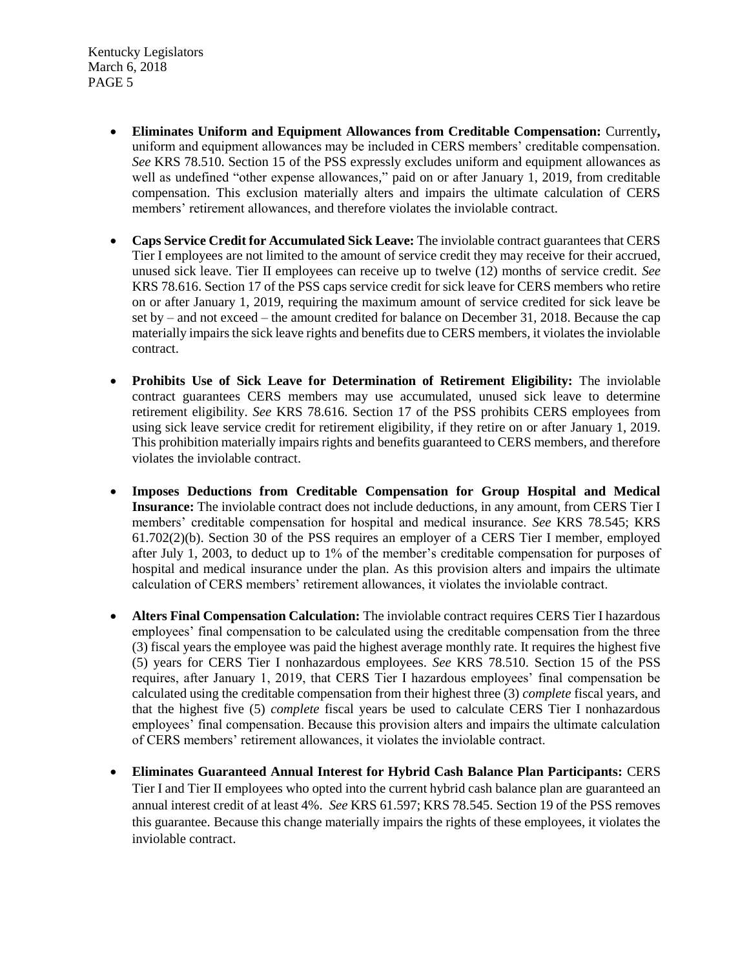- **Eliminates Uniform and Equipment Allowances from Creditable Compensation:** Currently**,**  uniform and equipment allowances may be included in CERS members' creditable compensation. *See* KRS 78.510. Section 15 of the PSS expressly excludes uniform and equipment allowances as well as undefined "other expense allowances," paid on or after January 1, 2019, from creditable compensation. This exclusion materially alters and impairs the ultimate calculation of CERS members' retirement allowances, and therefore violates the inviolable contract.
- **Caps Service Credit for Accumulated Sick Leave:** The inviolable contract guarantees that CERS Tier I employees are not limited to the amount of service credit they may receive for their accrued, unused sick leave. Tier II employees can receive up to twelve (12) months of service credit. *See*  KRS 78.616. Section 17 of the PSS caps service credit for sick leave for CERS members who retire on or after January 1, 2019, requiring the maximum amount of service credited for sick leave be set by – and not exceed – the amount credited for balance on December 31, 2018. Because the cap materially impairs the sick leave rights and benefits due to CERS members, it violates the inviolable contract.
- **Prohibits Use of Sick Leave for Determination of Retirement Eligibility:** The inviolable contract guarantees CERS members may use accumulated, unused sick leave to determine retirement eligibility. *See* KRS 78.616. Section 17 of the PSS prohibits CERS employees from using sick leave service credit for retirement eligibility, if they retire on or after January 1, 2019. This prohibition materially impairs rights and benefits guaranteed to CERS members, and therefore violates the inviolable contract.
- **Imposes Deductions from Creditable Compensation for Group Hospital and Medical Insurance:** The inviolable contract does not include deductions, in any amount, from CERS Tier I members' creditable compensation for hospital and medical insurance. *See* KRS 78.545; KRS 61.702(2)(b). Section 30 of the PSS requires an employer of a CERS Tier I member, employed after July 1, 2003, to deduct up to 1% of the member's creditable compensation for purposes of hospital and medical insurance under the plan. As this provision alters and impairs the ultimate calculation of CERS members' retirement allowances, it violates the inviolable contract.
- **Alters Final Compensation Calculation:** The inviolable contract requires CERS Tier I hazardous employees' final compensation to be calculated using the creditable compensation from the three (3) fiscal years the employee was paid the highest average monthly rate. It requires the highest five (5) years for CERS Tier I nonhazardous employees. *See* KRS 78.510. Section 15 of the PSS requires, after January 1, 2019, that CERS Tier I hazardous employees' final compensation be calculated using the creditable compensation from their highest three (3) *complete* fiscal years, and that the highest five (5) *complete* fiscal years be used to calculate CERS Tier I nonhazardous employees' final compensation. Because this provision alters and impairs the ultimate calculation of CERS members' retirement allowances, it violates the inviolable contract.
- **Eliminates Guaranteed Annual Interest for Hybrid Cash Balance Plan Participants:** CERS Tier I and Tier II employees who opted into the current hybrid cash balance plan are guaranteed an annual interest credit of at least 4%. *See* KRS 61.597; KRS 78.545. Section 19 of the PSS removes this guarantee. Because this change materially impairs the rights of these employees, it violates the inviolable contract.